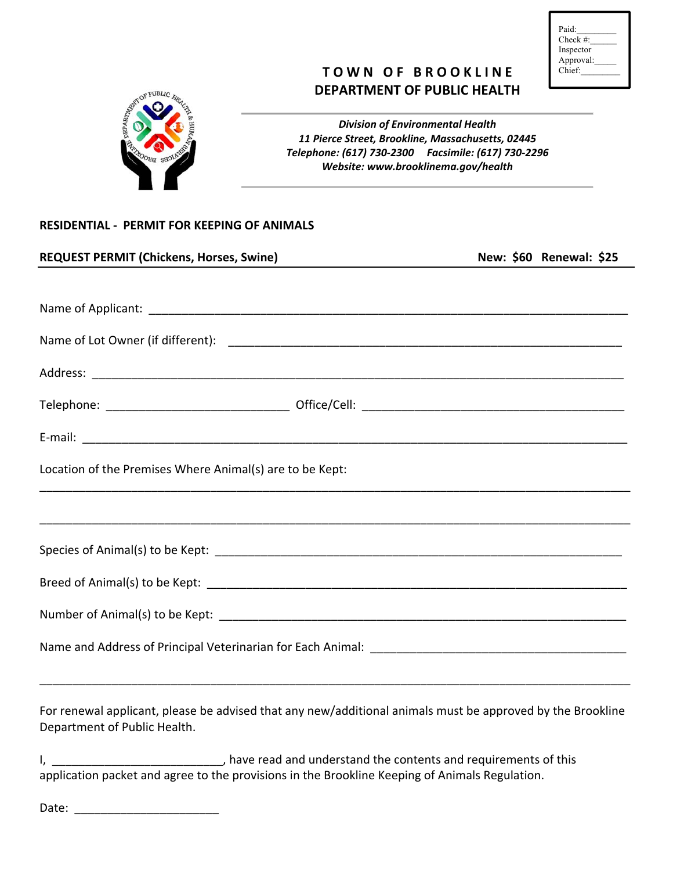| Paid:        |  |
|--------------|--|
| Check $\#$ : |  |
| Inspector    |  |
| Approval:    |  |
| Chief:       |  |
|              |  |

# **TOWN OF BROOKLINE DEPARTMENT OF PUBLIC HEALTH**



*Division of Environmental Health 11 Pierce Street, Brookline, Massachusetts, 02445 Telephone: (617) 730‐2300 Facsimile: (617) 730‐2296 Website: www.brooklinema.gov/health*

#### **RESIDENTIAL ‐ PERMIT FOR KEEPING OF ANIMALS**

| <b>REQUEST PERMIT (Chickens, Horses, Swine)</b>          | New: \$60 Renewal: \$25 |
|----------------------------------------------------------|-------------------------|
|                                                          |                         |
|                                                          |                         |
|                                                          |                         |
|                                                          |                         |
|                                                          |                         |
|                                                          |                         |
| Location of the Premises Where Animal(s) are to be Kept: |                         |
|                                                          |                         |
|                                                          |                         |
|                                                          |                         |
|                                                          |                         |
|                                                          |                         |
|                                                          |                         |
|                                                          |                         |

For renewal applicant, please be advised that any new/additional animals must be approved by the Brookline Department of Public Health.

I, \_\_\_\_\_\_\_\_\_\_\_\_\_\_\_\_\_\_\_\_\_\_\_\_\_\_\_\_, have read and understand the contents and requirements of this application packet and agree to the provisions in the Brookline Keeping of Animals Regulation.

Date: \_\_\_\_\_\_\_\_\_\_\_\_\_\_\_\_\_\_\_\_\_\_